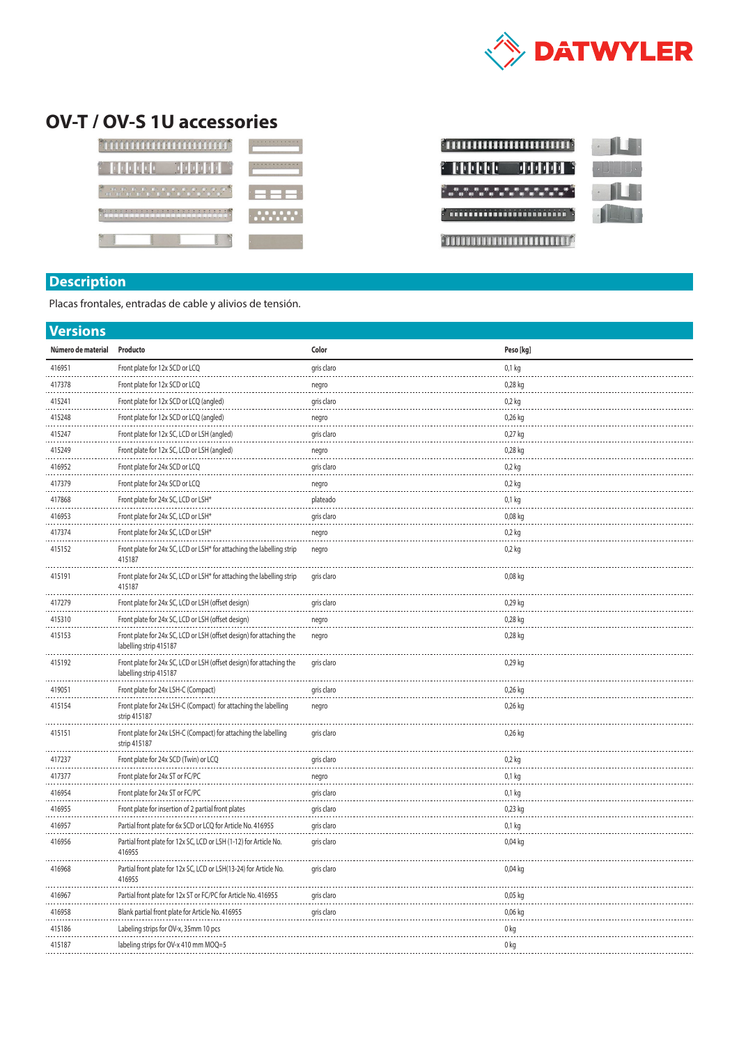

## **OV-T / OV-S 1U accessories**

| <b>KING BETA BET</b>   |          |
|------------------------|----------|
|                        |          |
| 1111111<br>11111<br>-3 | <u>.</u> |
| H                      |          |



## **Description**

Placas frontales, entradas de cable y alivios de tensión.

| <b>Versions</b>    |                                                                                                |            |           |  |  |  |
|--------------------|------------------------------------------------------------------------------------------------|------------|-----------|--|--|--|
| Número de material | Producto                                                                                       | Color      | Peso [kg] |  |  |  |
| 416951             | Front plate for 12x SCD or LCQ                                                                 | gris claro | 0,1 kg    |  |  |  |
| 417378             | Front plate for 12x SCD or LCQ                                                                 | negro      | 0,28 kg   |  |  |  |
| 415241             | Front plate for 12x SCD or LCQ (angled)                                                        | gris claro | 0,2 kg    |  |  |  |
| 415248             | Front plate for 12x SCD or LCQ (angled)                                                        | negro      | $0,26$ kg |  |  |  |
| 415247             | Front plate for 12x SC, LCD or LSH (angled)                                                    | gris claro | 0,27 kg   |  |  |  |
| 415249             | Front plate for 12x SC, LCD or LSH (angled)                                                    | negro      | 0,28 kg   |  |  |  |
| 416952             | Front plate for 24x SCD or LCQ                                                                 | gris claro | 0,2 kg    |  |  |  |
| 417379             | Front plate for 24x SCD or LCQ                                                                 | negro      | 0,2 kg    |  |  |  |
| 417868             | Front plate for 24x SC, LCD or LSH*                                                            | plateado   | 0,1 kg    |  |  |  |
| 416953             | Front plate for 24x SC, LCD or LSH*                                                            | gris claro | 0,08 kg   |  |  |  |
| 417374             | Front plate for 24x SC, LCD or LSH*                                                            | negro      | $0,2$ kg  |  |  |  |
| 415152<br>.        | Front plate for 24x SC, LCD or LSH* for attaching the labelling strip<br>415187                | negro      | $0,2$ kg  |  |  |  |
| 415191             | Front plate for 24x SC, LCD or LSH* for attaching the labelling strip<br>415187                | gris claro | 0,08 kg   |  |  |  |
| 417279             | Front plate for 24x SC, LCD or LSH (offset design)                                             | gris claro | 0,29 kg   |  |  |  |
| 415310             | Front plate for 24x SC, LCD or LSH (offset design)                                             | negro      | 0,28 kg   |  |  |  |
| 415153             | Front plate for 24x SC, LCD or LSH (offset design) for attaching the<br>labelling strip 415187 | negro      | 0,28 kg   |  |  |  |
| 415192             | Front plate for 24x SC, LCD or LSH (offset design) for attaching the<br>labelling strip 415187 | gris claro | 0,29 kg   |  |  |  |
| 419051             | Front plate for 24x LSH-C (Compact)                                                            | gris claro | 0,26 kg   |  |  |  |
| 415154             | Front plate for 24x LSH-C (Compact) for attaching the labelling<br>strip 415187                | negro      | 0,26 kg   |  |  |  |
| 415151             | Front plate for 24x LSH-C (Compact) for attaching the labelling<br>strip 415187                | gris claro | 0,26 kg   |  |  |  |
| 417237             | Front plate for 24x SCD (Twin) or LCQ                                                          | gris claro | $0,2$ kg  |  |  |  |
| 417377             | Front plate for 24x ST or FC/PC                                                                | negro      | $0,1$ kg  |  |  |  |
| 416954             | Front plate for 24x ST or FC/PC                                                                | gris claro | 0,1 kg    |  |  |  |
| 416955             | Front plate for insertion of 2 partial front plates                                            | gris claro | 0,23 kg   |  |  |  |
| 416957             | Partial front plate for 6x SCD or LCQ for Article No. 416955                                   | gris claro | $0,1$ kg  |  |  |  |
| 416956             | Partial front plate for 12x SC, LCD or LSH (1-12) for Article No.<br>416955                    | gris claro | 0,04 kg   |  |  |  |
| 416968             | Partial front plate for 12x SC, LCD or LSH(13-24) for Article No.<br>416955                    | gris claro | 0,04 kg   |  |  |  |
| 416967             | Partial front plate for 12x ST or FC/PC for Article No. 416955                                 | gris claro | 0,05 kg   |  |  |  |
| 416958             | Blank partial front plate for Article No. 416955                                               | gris claro | 0,06 kg   |  |  |  |
| 415186             | Labeling strips for OV-x, 35mm 10 pcs                                                          |            | 0 kg      |  |  |  |
| 415187             | labeling strips for OV-x 410 mm MOQ=5                                                          |            | 0 kg      |  |  |  |